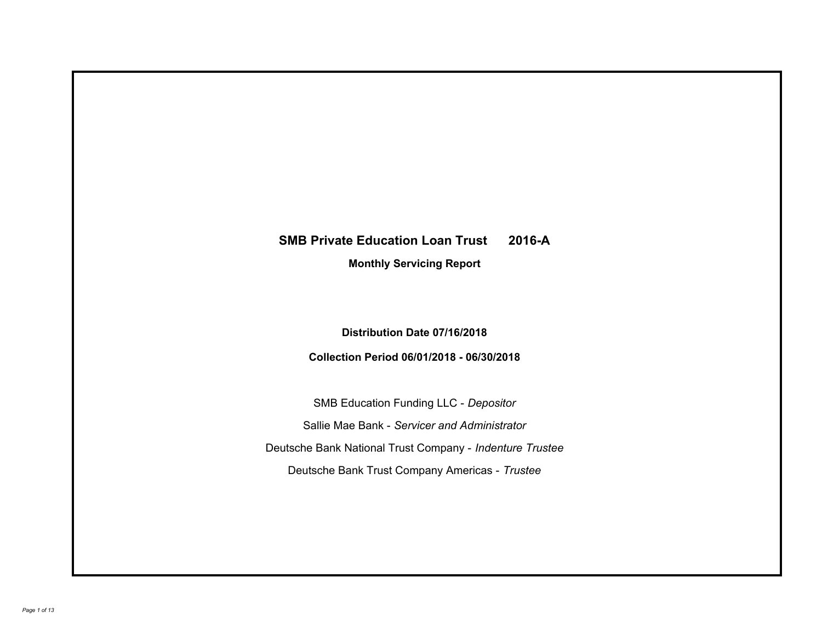# **SMB Private Education Loan Trust 2016-A**

**Monthly Servicing Report**

**Distribution Date 07/16/2018**

**Collection Period 06/01/2018 - 06/30/2018**

SMB Education Funding LLC - *Depositor* Sallie Mae Bank - *Servicer and Administrator* Deutsche Bank National Trust Company - *Indenture Trustee* Deutsche Bank Trust Company Americas - *Trustee*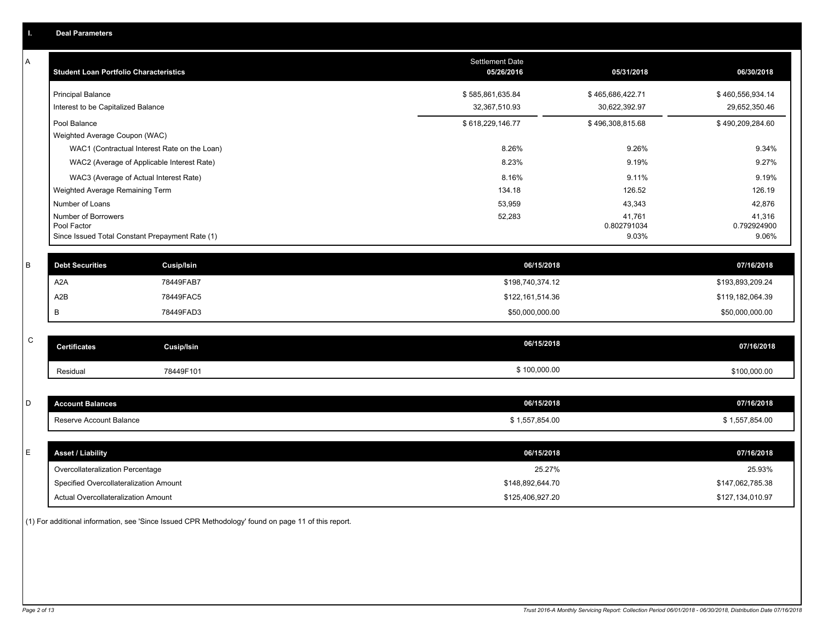|             | <b>Deal Parameters</b>                                         |                                                                                            |                                      |                                          |                                          |
|-------------|----------------------------------------------------------------|--------------------------------------------------------------------------------------------|--------------------------------------|------------------------------------------|------------------------------------------|
| A           | <b>Student Loan Portfolio Characteristics</b>                  |                                                                                            | <b>Settlement Date</b><br>05/26/2016 | 05/31/2018                               | 06/30/2018                               |
|             | <b>Principal Balance</b><br>Interest to be Capitalized Balance |                                                                                            | \$585,861,635.84<br>32,367,510.93    | \$465,686,422.71<br>30,622,392.97        | \$460,556,934.14<br>29,652,350.46        |
|             | Pool Balance<br>Weighted Average Coupon (WAC)                  |                                                                                            | \$618,229,146.77                     | \$496,308,815.68                         | \$490,209,284.60                         |
|             |                                                                | WAC1 (Contractual Interest Rate on the Loan)<br>WAC2 (Average of Applicable Interest Rate) | 8.26%<br>8.23%                       | 9.26%<br>9.19%                           | 9.34%<br>9.27%                           |
|             | Weighted Average Remaining Term                                | WAC3 (Average of Actual Interest Rate)                                                     | 8.16%<br>134.18                      | 9.11%<br>126.52                          | 9.19%<br>126.19                          |
|             | Number of Loans<br>Number of Borrowers<br>Pool Factor          | Since Issued Total Constant Prepayment Rate (1)                                            | 53,959<br>52,283                     | 43,343<br>41,761<br>0.802791034<br>9.03% | 42,876<br>41,316<br>0.792924900<br>9.06% |
| B           | <b>Debt Securities</b>                                         | <b>Cusip/Isin</b>                                                                          | 06/15/2018                           |                                          | 07/16/2018                               |
|             | A2A                                                            | 78449FAB7                                                                                  | \$198,740,374.12                     |                                          | \$193,893,209.24                         |
|             | A2B                                                            | 78449FAC5                                                                                  | \$122,161,514.36                     |                                          | \$119,182,064.39                         |
|             | B                                                              | 78449FAD3                                                                                  | \$50,000,000.00                      |                                          | \$50,000,000.00                          |
| $\mathbf C$ | <b>Certificates</b>                                            | <b>Cusip/Isin</b>                                                                          | 06/15/2018                           |                                          | 07/16/2018                               |
|             | Residual                                                       | 78449F101                                                                                  | \$100,000.00                         |                                          | \$100,000.00                             |
| D           | <b>Account Balances</b>                                        |                                                                                            | 06/15/2018                           |                                          | 07/16/2018                               |
|             | Reserve Account Balance                                        |                                                                                            | \$1,557,854.00                       |                                          | \$1,557,854.00                           |
| E           | <b>Asset / Liability</b>                                       |                                                                                            | 06/15/2018                           |                                          | 07/16/2018                               |
|             | Overcollateralization Percentage                               |                                                                                            | 25.27%                               |                                          | 25.93%                                   |
|             | Specified Overcollateralization Amount                         |                                                                                            | \$148,892,644.70                     |                                          | \$147,062,785.38                         |
|             | Actual Overcollateralization Amount                            |                                                                                            | \$125,406,927.20                     |                                          | \$127,134,010.97                         |
|             |                                                                |                                                                                            |                                      |                                          |                                          |

(1) For additional information, see 'Since Issued CPR Methodology' found on page 11 of this report.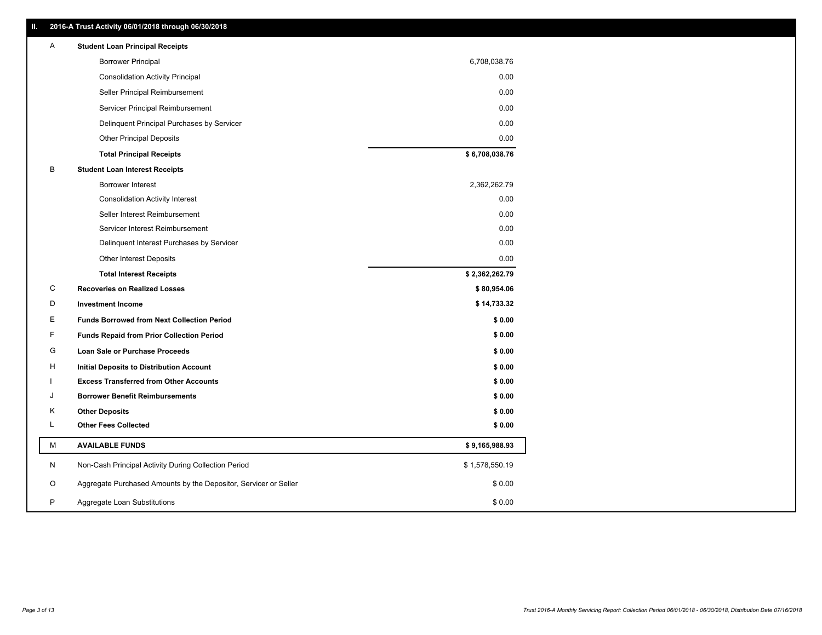| A | <b>Student Loan Principal Receipts</b>                           |                |
|---|------------------------------------------------------------------|----------------|
|   | <b>Borrower Principal</b>                                        | 6,708,038.76   |
|   | <b>Consolidation Activity Principal</b>                          | 0.00           |
|   | Seller Principal Reimbursement                                   | 0.00           |
|   | Servicer Principal Reimbursement                                 | 0.00           |
|   | Delinquent Principal Purchases by Servicer                       | 0.00           |
|   | <b>Other Principal Deposits</b>                                  | 0.00           |
|   | <b>Total Principal Receipts</b>                                  | \$6,708,038.76 |
| В | <b>Student Loan Interest Receipts</b>                            |                |
|   | Borrower Interest                                                | 2,362,262.79   |
|   | <b>Consolidation Activity Interest</b>                           | 0.00           |
|   | Seller Interest Reimbursement                                    | 0.00           |
|   | Servicer Interest Reimbursement                                  | 0.00           |
|   | Delinquent Interest Purchases by Servicer                        | 0.00           |
|   | <b>Other Interest Deposits</b>                                   | 0.00           |
|   | <b>Total Interest Receipts</b>                                   | \$2,362,262.79 |
| C | <b>Recoveries on Realized Losses</b>                             | \$80,954.06    |
|   |                                                                  |                |
| D | <b>Investment Income</b>                                         | \$14,733.32    |
| Ε | <b>Funds Borrowed from Next Collection Period</b>                | \$0.00         |
| F | <b>Funds Repaid from Prior Collection Period</b>                 | \$0.00         |
| G | Loan Sale or Purchase Proceeds                                   | \$0.00         |
| н | Initial Deposits to Distribution Account                         | \$0.00         |
|   | <b>Excess Transferred from Other Accounts</b>                    | \$0.00         |
| J | <b>Borrower Benefit Reimbursements</b>                           | \$0.00         |
| Κ | <b>Other Deposits</b>                                            | \$0.00         |
| L | <b>Other Fees Collected</b>                                      | \$0.00         |
| м | <b>AVAILABLE FUNDS</b>                                           | \$9,165,988.93 |
| N | Non-Cash Principal Activity During Collection Period             | \$1,578,550.19 |
| O | Aggregate Purchased Amounts by the Depositor, Servicer or Seller | \$0.00         |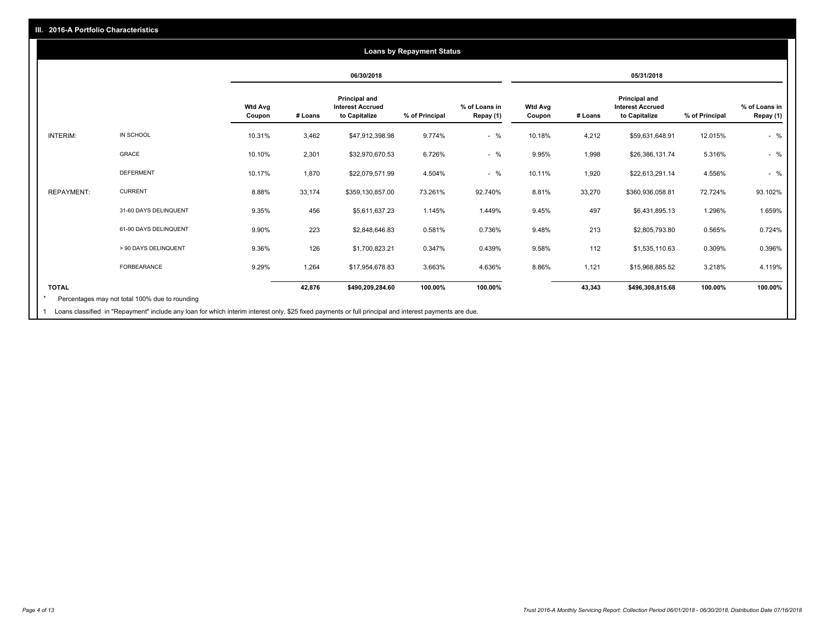#### **06/30/2018 05/31/2018 Wtd Avg Coupon # Loans Principal and Interest Accrued to Capitalize % of Principal % of Loans in Repay (1) Wtd Avg Coupon # Loans Principal and Interest Accrued to Capitalize % of Principal % of Loans in Repay (1)**  INTERIM: IN SCHOOL 10.31% 3,462 \$47,912,398.98 9.774% - % 10.18% 4,212 \$59,631,648.91 12.015% - % GRACE 10.10% 2,301 \$32,970,670.53 6.726% - % 9.95% 1,998 \$26,386,131.74 5.316% - % DEFERMENT 10.17% 1,870 \$22,079,571.99 4.504% - % 10.11% 1,920 \$22,613,291.14 4.556% - % REPAYMENT: CURRENT 8.88% 33,174 \$359,130,857.00 73.261% 92.740% 8.81% 33,270 \$360,936,058.81 72.724% 93.102% 31-60 DAYS DELINQUENT 9.35% 456 \$5,611,637.23 1.145% 1.449% 9.45% 497 \$6,431,895.13 1.296% 1.659% 61-90 DAYS DELINQUENT 9.90% 223 \$2,848,646.83 0.581% 0.736% 9.48% 213 \$2,805,793.80 0.565% 0.724% > 90 DAYS DELINQUENT 9.36% 126 \$1,700,823.21 0.347% 0.439% 9.58% 112 \$1,535,110.63 0.309% 0.396% FORBEARANCE 9.29% 1,264 \$17,954,678.83 3.663% 4.636% 8.86% 1,121 \$15,968,885.52 3.218% 4.119% **TOTAL 42,876 \$490,209,284.60 100.00% 100.00% 43,343 \$496,308,815.68 100.00% 100.00% Loans by Repayment Status** Percentages may not total 100% due to rounding \*

Loans classified in "Repayment" include any loan for which interim interest only, \$25 fixed payments or full principal and interest payments are due. 1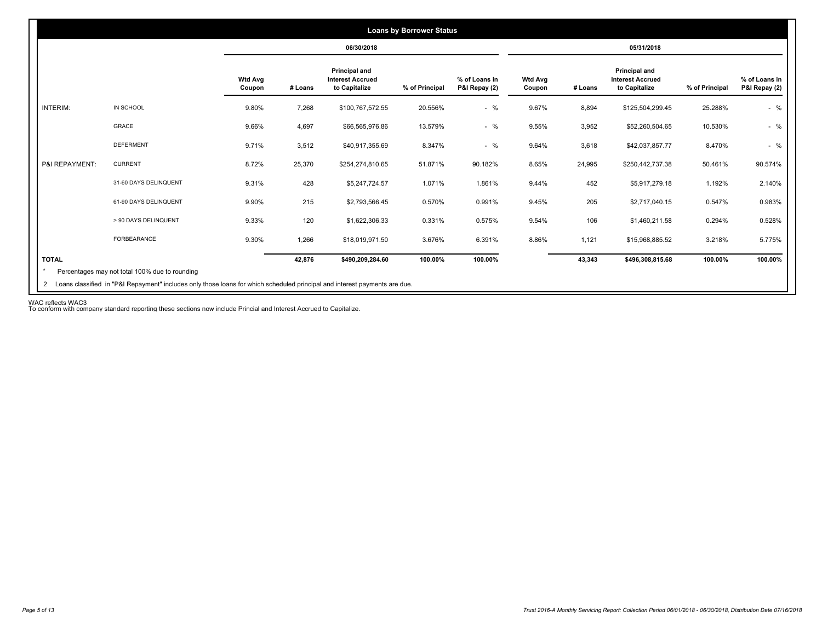|                 |                       |                          |         | 06/30/2018                                                |                |                                |                          |         | 05/31/2018                                                |                |                                |
|-----------------|-----------------------|--------------------------|---------|-----------------------------------------------------------|----------------|--------------------------------|--------------------------|---------|-----------------------------------------------------------|----------------|--------------------------------|
|                 |                       | <b>Wtd Avg</b><br>Coupon | # Loans | Principal and<br><b>Interest Accrued</b><br>to Capitalize | % of Principal | % of Loans in<br>P&I Repay (2) | <b>Wtd Avg</b><br>Coupon | # Loans | Principal and<br><b>Interest Accrued</b><br>to Capitalize | % of Principal | % of Loans in<br>P&I Repay (2) |
| <b>INTERIM:</b> | IN SCHOOL             | 9.80%                    | 7,268   | \$100,767,572.55                                          | 20.556%        | $-$ %                          | 9.67%                    | 8,894   | \$125,504,299.45                                          | 25.288%        | $-$ %                          |
|                 | GRACE                 | 9.66%                    | 4,697   | \$66,565,976.86                                           | 13.579%        | $-$ %                          | 9.55%                    | 3,952   | \$52,260,504.65                                           | 10.530%        | $-$ %                          |
|                 | <b>DEFERMENT</b>      | 9.71%                    | 3,512   | \$40,917,355.69                                           | 8.347%         | $-$ %                          | 9.64%                    | 3,618   | \$42,037,857.77                                           | 8.470%         | $-$ %                          |
| P&I REPAYMENT:  | <b>CURRENT</b>        | 8.72%                    | 25,370  | \$254,274,810.65                                          | 51.871%        | 90.182%                        | 8.65%                    | 24,995  | \$250,442,737.38                                          | 50.461%        | 90.574%                        |
|                 | 31-60 DAYS DELINQUENT | 9.31%                    | 428     | \$5,247,724.57                                            | 1.071%         | 1.861%                         | 9.44%                    | 452     | \$5,917,279.18                                            | 1.192%         | 2.140%                         |
|                 | 61-90 DAYS DELINQUENT | 9.90%                    | 215     | \$2,793,566.45                                            | 0.570%         | 0.991%                         | 9.45%                    | 205     | \$2,717,040.15                                            | 0.547%         | 0.983%                         |
|                 | > 90 DAYS DELINQUENT  | 9.33%                    | 120     | \$1,622,306.33                                            | 0.331%         | 0.575%                         | 9.54%                    | 106     | \$1,460,211.58                                            | 0.294%         | 0.528%                         |
|                 | FORBEARANCE           | 9.30%                    | 1,266   | \$18,019,971.50                                           | 3.676%         | 6.391%                         | 8.86%                    | 1,121   | \$15,968,885.52                                           | 3.218%         | 5.775%                         |
| <b>TOTAL</b>    |                       |                          | 42,876  | \$490,209,284.60                                          | 100.00%        | 100.00%                        |                          | 43,343  | \$496,308,815.68                                          | 100.00%        | 100.00%                        |

WAC reflects WAC3 To conform with company standard reporting these sections now include Princial and Interest Accrued to Capitalize.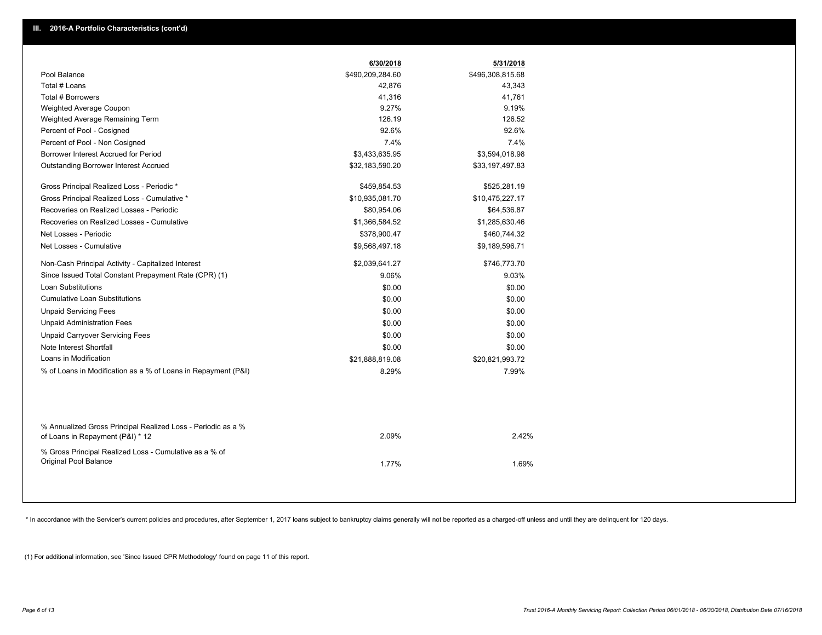|                                                                                                  | 6/30/2018        | 5/31/2018        |
|--------------------------------------------------------------------------------------------------|------------------|------------------|
| Pool Balance                                                                                     | \$490,209,284.60 | \$496,308,815.68 |
| Total # Loans                                                                                    | 42,876           | 43,343           |
| Total # Borrowers                                                                                | 41,316           | 41,761           |
| Weighted Average Coupon                                                                          | 9.27%            | 9.19%            |
| Weighted Average Remaining Term                                                                  | 126.19           | 126.52           |
| Percent of Pool - Cosigned                                                                       | 92.6%            | 92.6%            |
| Percent of Pool - Non Cosigned                                                                   | 7.4%             | 7.4%             |
| Borrower Interest Accrued for Period                                                             | \$3,433,635.95   | \$3,594,018.98   |
| Outstanding Borrower Interest Accrued                                                            | \$32,183,590.20  | \$33,197,497.83  |
| Gross Principal Realized Loss - Periodic *                                                       | \$459,854.53     | \$525,281.19     |
| Gross Principal Realized Loss - Cumulative *                                                     | \$10,935,081.70  | \$10,475,227.17  |
| Recoveries on Realized Losses - Periodic                                                         | \$80,954.06      | \$64,536.87      |
| Recoveries on Realized Losses - Cumulative                                                       | \$1,366,584.52   | \$1,285,630.46   |
| Net Losses - Periodic                                                                            | \$378,900.47     | \$460,744.32     |
| Net Losses - Cumulative                                                                          | \$9,568,497.18   | \$9,189,596.71   |
| Non-Cash Principal Activity - Capitalized Interest                                               | \$2,039,641.27   | \$746,773.70     |
| Since Issued Total Constant Prepayment Rate (CPR) (1)                                            | 9.06%            | 9.03%            |
| <b>Loan Substitutions</b>                                                                        | \$0.00           | \$0.00           |
| <b>Cumulative Loan Substitutions</b>                                                             | \$0.00           | \$0.00           |
| <b>Unpaid Servicing Fees</b>                                                                     | \$0.00           | \$0.00           |
| <b>Unpaid Administration Fees</b>                                                                | \$0.00           | \$0.00           |
| <b>Unpaid Carryover Servicing Fees</b>                                                           | \$0.00           | \$0.00           |
| Note Interest Shortfall                                                                          | \$0.00           | \$0.00           |
| Loans in Modification                                                                            | \$21,888,819.08  | \$20,821,993.72  |
| % of Loans in Modification as a % of Loans in Repayment (P&I)                                    | 8.29%            | 7.99%            |
|                                                                                                  |                  |                  |
| % Annualized Gross Principal Realized Loss - Periodic as a %<br>of Loans in Repayment (P&I) * 12 | 2.09%            | 2.42%            |
| % Gross Principal Realized Loss - Cumulative as a % of<br>Original Pool Balance                  | 1.77%            | 1.69%            |

\* In accordance with the Servicer's current policies and procedures, after September 1, 2017 loans subject to bankruptcy claims generally will not be reported as a charged-off unless and until they are delinquent for 120 d

(1) For additional information, see 'Since Issued CPR Methodology' found on page 11 of this report.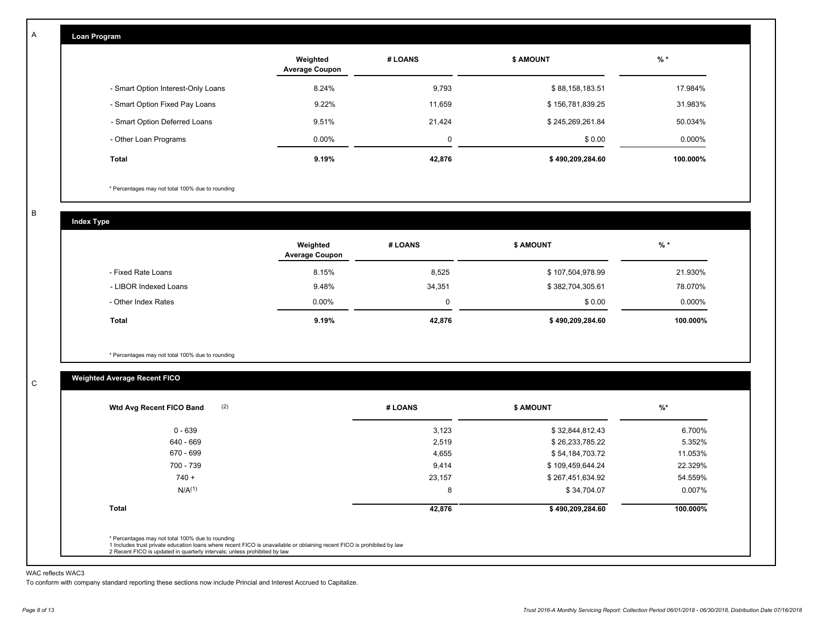| Loan Program                       |                                   |         |                  |          |
|------------------------------------|-----------------------------------|---------|------------------|----------|
|                                    | Weighted<br><b>Average Coupon</b> | # LOANS | <b>\$ AMOUNT</b> | $%$ *    |
| - Smart Option Interest-Only Loans | 8.24%                             | 9,793   | \$88,158,183.51  | 17.984%  |
| - Smart Option Fixed Pay Loans     | $9.22\%$                          | 11,659  | \$156,781,839.25 | 31.983%  |
| - Smart Option Deferred Loans      | 9.51%                             | 21,424  | \$245,269,261.84 | 50.034%  |
| - Other Loan Programs              | $0.00\%$                          | 0       | \$0.00           | 0.000%   |
| Total                              | 9.19%                             | 42,876  | \$490,209,284.60 | 100.000% |

\* Percentages may not total 100% due to rounding

B

C

A

**Index Type**

|                       | Weighted<br><b>Average Coupon</b> | # LOANS | <b>S AMOUNT</b>  | $%$ *    |
|-----------------------|-----------------------------------|---------|------------------|----------|
| - Fixed Rate Loans    | 8.15%                             | 8,525   | \$107,504,978.99 | 21.930%  |
| - LIBOR Indexed Loans | 9.48%                             | 34,351  | \$382,704,305.61 | 78.070%  |
| - Other Index Rates   | $0.00\%$                          | 0       | \$0.00           | 0.000%   |
| <b>Total</b>          | 9.19%                             | 42.876  | \$490,209,284.60 | 100.000% |

\* Percentages may not total 100% due to rounding

## **Weighted Average Recent FICO**

| (2)<br>Wtd Avg Recent FICO Band | # LOANS | <b>\$ AMOUNT</b> | $%$ *    |
|---------------------------------|---------|------------------|----------|
| 0 - 639                         | 3,123   | \$32,844,812.43  | 6.700%   |
| 640 - 669                       | 2,519   | \$26,233,785.22  | 5.352%   |
| 670 - 699                       | 4,655   | \$54,184,703.72  | 11.053%  |
| 700 - 739                       | 9.414   | \$109,459,644.24 | 22.329%  |
| $740 +$                         | 23,157  | \$267,451,634.92 | 54.559%  |
| N/A <sup>(1)</sup>              | 8       | \$34,704.07      | 0.007%   |
| <b>Total</b>                    | 42,876  | \$490,209,284.60 | 100.000% |

#### WAC reflects WAC3

To conform with company standard reporting these sections now include Princial and Interest Accrued to Capitalize.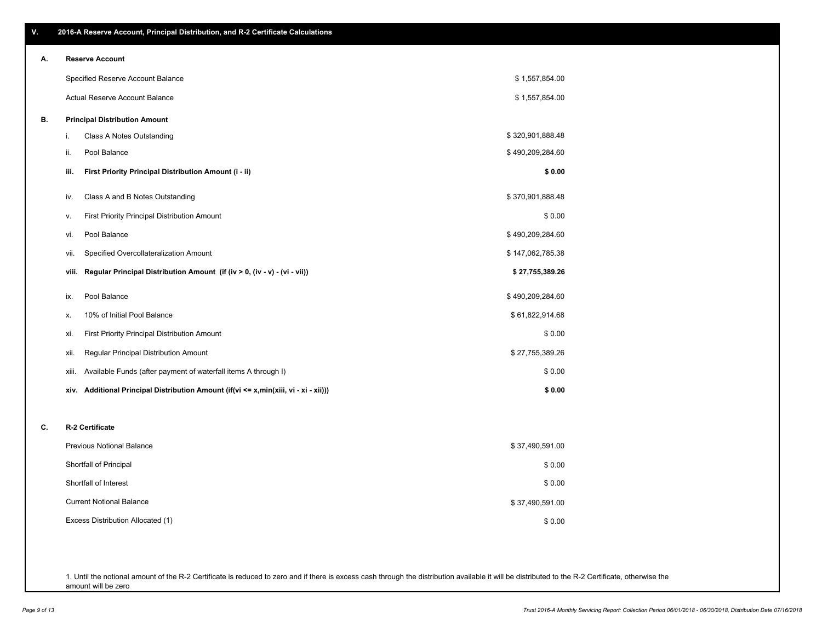\$ 0.00

\$ 37,490,591.00

\$ 0.00

| А. | <b>Reserve Account</b>                                                               |                  |
|----|--------------------------------------------------------------------------------------|------------------|
|    | Specified Reserve Account Balance                                                    | \$1,557,854.00   |
|    | Actual Reserve Account Balance                                                       | \$1,557,854.00   |
| В. | <b>Principal Distribution Amount</b>                                                 |                  |
|    | i.<br>Class A Notes Outstanding                                                      | \$320,901,888.48 |
|    | Pool Balance<br>ii.                                                                  | \$490,209,284.60 |
|    | iii.<br>First Priority Principal Distribution Amount (i - ii)                        | \$0.00           |
|    | Class A and B Notes Outstanding<br>iv.                                               | \$370,901,888.48 |
|    | First Priority Principal Distribution Amount<br>٧.                                   | \$0.00           |
|    | Pool Balance<br>vi.                                                                  | \$490,209,284.60 |
|    | Specified Overcollateralization Amount<br>vii.                                       | \$147,062,785.38 |
|    | Regular Principal Distribution Amount (if (iv > 0, (iv - v) - (vi - vii))<br>viii.   | \$27,755,389.26  |
|    | Pool Balance<br>ix.                                                                  | \$490,209,284.60 |
|    | 10% of Initial Pool Balance<br>х.                                                    | \$61,822,914.68  |
|    | First Priority Principal Distribution Amount<br>xi.                                  | \$0.00           |
|    | Regular Principal Distribution Amount<br>xii.                                        | \$27,755,389.26  |
|    | Available Funds (after payment of waterfall items A through I)<br>xiii.              | \$0.00           |
|    | xiv. Additional Principal Distribution Amount (if(vi <= x,min(xiii, vi - xi - xii))) | \$0.00           |
|    |                                                                                      |                  |
| C. | R-2 Certificate                                                                      |                  |
|    | <b>Previous Notional Balance</b>                                                     | \$37,490,591.00  |
|    | Shortfall of Principal                                                               | \$0.00           |

Current Notional Balance

Shortfall of Interest

Excess Distribution Allocated (1)

1. Until the notional amount of the R-2 Certificate is reduced to zero and if there is excess cash through the distribution available it will be distributed to the R-2 Certificate, otherwise the amount will be zero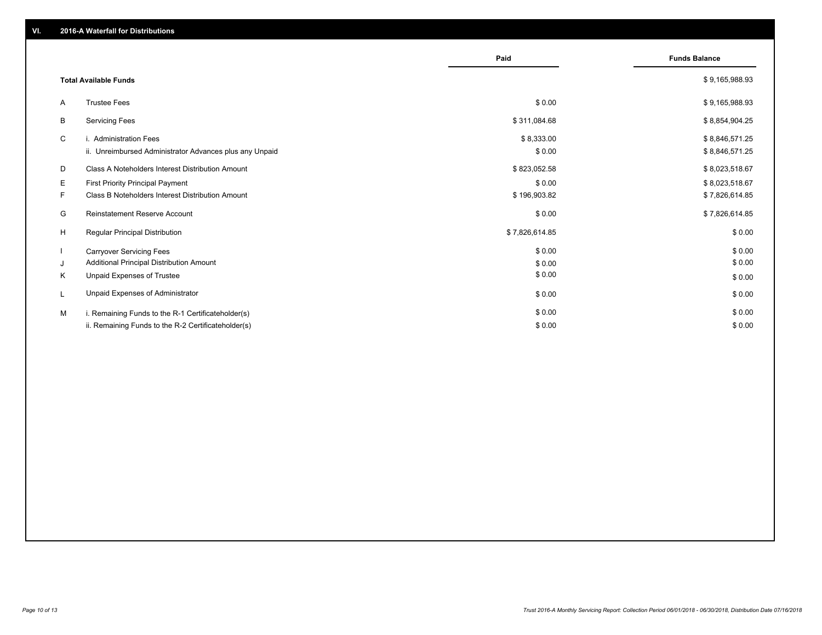|    |                                                         | Paid           | <b>Funds Balance</b> |
|----|---------------------------------------------------------|----------------|----------------------|
|    | <b>Total Available Funds</b>                            |                | \$9,165,988.93       |
| A  | <b>Trustee Fees</b>                                     | \$0.00         | \$9,165,988.93       |
| B  | <b>Servicing Fees</b>                                   | \$311,084.68   | \$8,854,904.25       |
| C  | i. Administration Fees                                  | \$8,333.00     | \$8,846,571.25       |
|    | ii. Unreimbursed Administrator Advances plus any Unpaid | \$0.00         | \$8,846,571.25       |
| D  | Class A Noteholders Interest Distribution Amount        | \$823,052.58   | \$8,023,518.67       |
| E. | <b>First Priority Principal Payment</b>                 | \$0.00         | \$8,023,518.67       |
| F  | Class B Noteholders Interest Distribution Amount        | \$196,903.82   | \$7,826,614.85       |
| G  | <b>Reinstatement Reserve Account</b>                    | \$0.00         | \$7,826,614.85       |
| H  | Regular Principal Distribution                          | \$7,826,614.85 | \$0.00               |
|    | <b>Carryover Servicing Fees</b>                         | \$0.00         | \$0.00               |
| J  | Additional Principal Distribution Amount                | \$0.00         | \$0.00               |
| Κ  | Unpaid Expenses of Trustee                              | \$0.00         | \$0.00               |
| L  | Unpaid Expenses of Administrator                        | \$0.00         | \$0.00               |
| M  | i. Remaining Funds to the R-1 Certificateholder(s)      | \$0.00         | \$0.00               |
|    | ii. Remaining Funds to the R-2 Certificateholder(s)     | \$0.00         | \$0.00               |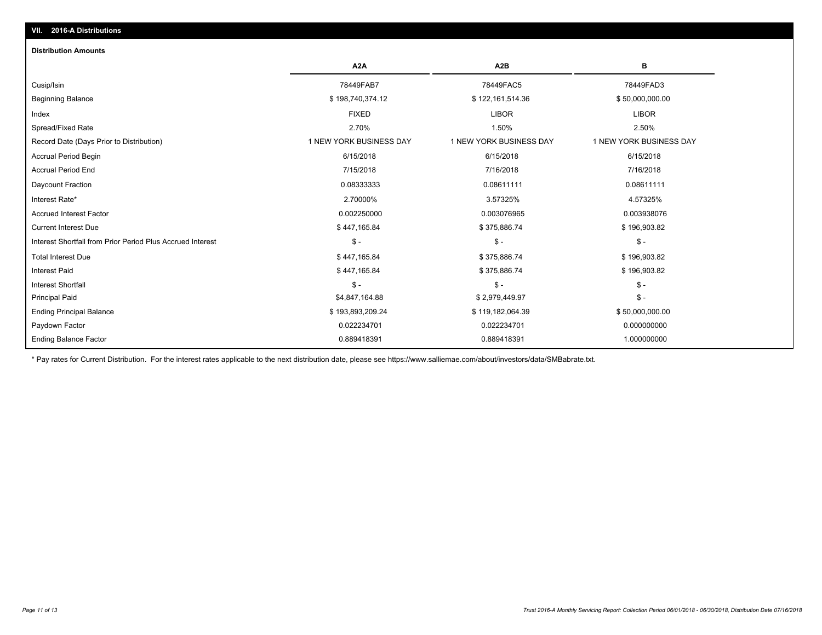## **VII. 2016-A Distributions**

#### **Distribution Amounts**

|                                                            | A <sub>2</sub> A        | A <sub>2</sub> B        | в                       |
|------------------------------------------------------------|-------------------------|-------------------------|-------------------------|
| Cusip/Isin                                                 | 78449FAB7               | 78449FAC5               | 78449FAD3               |
| <b>Beginning Balance</b>                                   | \$198,740,374.12        | \$122,161,514.36        | \$50,000,000.00         |
| Index                                                      | <b>FIXED</b>            | <b>LIBOR</b>            | <b>LIBOR</b>            |
| Spread/Fixed Rate                                          | 2.70%                   | 1.50%                   | 2.50%                   |
| Record Date (Days Prior to Distribution)                   | 1 NEW YORK BUSINESS DAY | 1 NEW YORK BUSINESS DAY | 1 NEW YORK BUSINESS DAY |
| <b>Accrual Period Begin</b>                                | 6/15/2018               | 6/15/2018               | 6/15/2018               |
| <b>Accrual Period End</b>                                  | 7/15/2018               | 7/16/2018               | 7/16/2018               |
| Daycount Fraction                                          | 0.08333333              | 0.08611111              | 0.08611111              |
| Interest Rate*                                             | 2.70000%                | 3.57325%                | 4.57325%                |
| <b>Accrued Interest Factor</b>                             | 0.002250000             | 0.003076965             | 0.003938076             |
| <b>Current Interest Due</b>                                | \$447,165.84            | \$375,886.74            | \$196,903.82            |
| Interest Shortfall from Prior Period Plus Accrued Interest | $\mathbb{S}$ -          | $\mathsf{\$}$ -         | $$ -$                   |
| <b>Total Interest Due</b>                                  | \$447,165.84            | \$375,886.74            | \$196,903.82            |
| <b>Interest Paid</b>                                       | \$447,165.84            | \$375,886.74            | \$196,903.82            |
| <b>Interest Shortfall</b>                                  | $\mathbb{S}$ -          | $\mathsf{\$}$ -         | $$ -$                   |
| <b>Principal Paid</b>                                      | \$4,847,164.88          | \$2,979,449.97          | $$ -$                   |
| <b>Ending Principal Balance</b>                            | \$193,893,209.24        | \$119,182,064.39        | \$50,000,000.00         |
| Paydown Factor                                             | 0.022234701             | 0.022234701             | 0.000000000             |
| <b>Ending Balance Factor</b>                               | 0.889418391             | 0.889418391             | 1.000000000             |

\* Pay rates for Current Distribution. For the interest rates applicable to the next distribution date, please see https://www.salliemae.com/about/investors/data/SMBabrate.txt.